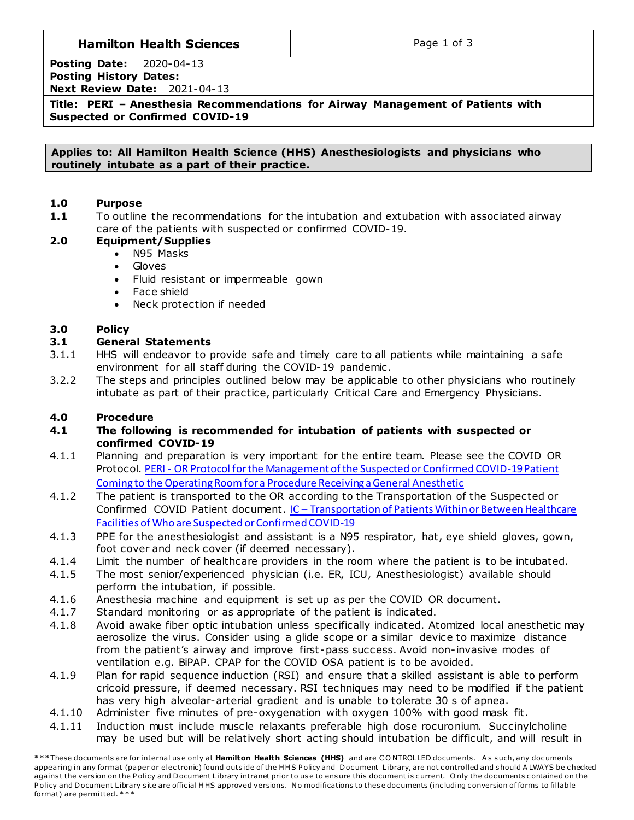# **Hamilton Health Sciences**  $\qquad$  **Page 1 of 3**

**Posting Date:** 2020-04-13 **Posting History Dates: Next Review Date:** 2021-04-13

**Title: PERI – Anesthesia Recommendations for Airway Management of Patients with Suspected or Confirmed COVID-19**

**Applies to: All Hamilton Health Science (HHS) Anesthesiologists and physicians who routinely intubate as a part of their practice.**

## **1.0 Purpose**

**1.1** To outline the recommendations for the intubation and extubation with associated airway care of the patients with suspected or confirmed COVID-19.

# **2.0 Equipment/Supplies**

- N95 Masks
- Gloves
- Fluid resistant or impermeable gown
- Face shield
- Neck protection if needed

## **3.0 Policy**

## **3.1 General Statements**

- 3.1.1 HHS will endeavor to provide safe and timely care to all patients while maintaining a safe environment for all staff during the COVID-19 pandemic .
- 3.2.2 The steps and principles outlined below may be applicable to other physicians who routinely intubate as part of their practice, particularly Critical Care and Emergency Physicians.

## **4.0 Procedure**

- **4.1 The following is recommended for intubation of patients with suspected or confirmed COVID-19**
- 4.1.1 Planning and preparation is very important for the entire team. Please see the COVID OR Protocol. PERI - [OR Protocol for the Management of the Suspected or Confirmed COVID-19 Patient](http://policy.hhsc.ca/Site_Published/hhsc/document_render.aspx?documentRender.IdType=6&documentRender.GenericField=&documentRender.Id=99604)  Coming to the Operating Room [for a Procedure Receiving a General Anesthetic](http://policy.hhsc.ca/Site_Published/hhsc/document_render.aspx?documentRender.IdType=6&documentRender.GenericField=&documentRender.Id=99604)
- 4.1.2 The patient is transported to the OR according to the Transportation of the Suspected or Confirmed COVID Patient document. IC – [Transportation of Patients Within or Between Healthcare](http://policy.hhsc.ca/Site_Published/hhsc/document_render.aspx?documentRender.IdType=6&documentRender.GenericField=&documentRender.Id=99648)  [Facilities of Who are Suspected or Confirmed COVID-19](http://policy.hhsc.ca/Site_Published/hhsc/document_render.aspx?documentRender.IdType=6&documentRender.GenericField=&documentRender.Id=99648)
- 4.1.3 PPE for the anesthesiologist and assistant is a N95 respirator, hat, eye shield gloves, gown, foot cover and neck cover (if deemed necessary).
- 4.1.4 Limit the number of healthcare providers in the room where the patient is to be intubated.
- 4.1.5 The most senior/experienced physician (i.e. ER, ICU, Anesthesiologist) available should perform the intubation, if possible.
- 4.1.6 Anesthesia machine and equipment is set up as per the COVID OR document.
- 4.1.7 Standard monitoring or as appropriate of the patient is indicated.
- 4.1.8 Avoid awake fiber optic intubation unless specifically indicated. Atomized local anesthetic may aerosolize the virus. Consider using a glide scope or a similar device to maximize distance from the patient's airway and improve first -pass success. Avoid non-invasive modes of ventilation e.g. BiPAP. CPAP for the COVID OSA patient is to be avoided.
- 4.1.9 Plan for rapid sequence induction (RSI) and ensure that a skilled assistant is able to perform cricoid pressure, if deemed necessary. RSI techniques may need to be modified if t he patient has very high alveolar-arterial gradient and is unable to tolerate 30 s of apnea.
- 4.1.10 Administer five minutes of pre-oxygenation with oxygen 100% with good mask fit.
- 4.1.11 Induction must include muscle relaxants preferable high dose rocuronium. Succinylcholine may be used but will be relatively short acting should intubation be difficult, and will result in

<sup>\*\*\*</sup> These documents are for internal use only at Hamilton Health Sciences (HHS) and are CONTROLLED documents. As such, any documents appearing in any format (paper or electronic) found outside of the HHS Policy and Document Library, are not controlled and should A LWAYS be checked against the version on the Policy and Document Library intranet prior to use to ensure this document is current. Only the documents contained on the Policy and Document Library site are official HHS approved versions. No modifications to these documents (including conversion of forms to fillable format) are permitted. \* \* \*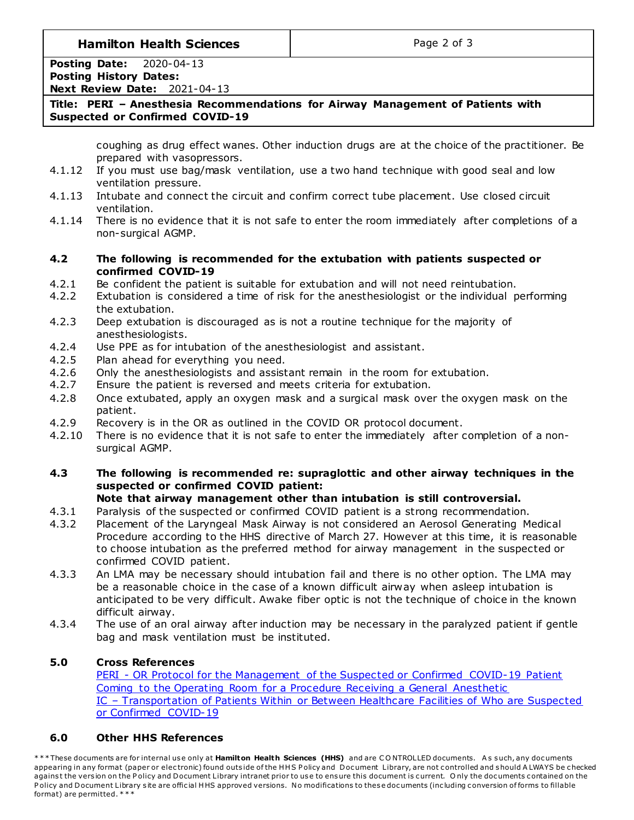**Hamilton Health Sciences**  $\qquad$  **Page 2 of 3** 

**Posting Date:** 2020-04-13 **Posting History Dates: Next Review Date:** 2021-04-13

# **Title: PERI – Anesthesia Recommendations for Airway Management of Patients with Suspected or Confirmed COVID-19**

coughing as drug effect wanes. Other induction drugs are at the choice of the practitioner. Be prepared with vasopressors.

- 4.1.12 If you must use bag/mask ventilation, use a two hand technique with good seal and low ventilation pressure.
- 4.1.13 Intubate and connect the circuit and confirm correct tube placement. Use closed circuit ventilation.
- 4.1.14 There is no evidence that it is not safe to enter the room immediately after completions of a non-surgical AGMP.
- **4.2 The following is recommended for the extubation with patients suspected or confirmed COVID-19**
- 4.2.1 Be confident the patient is suitable for extubation and will not need reintubation.
- 4.2.2 Extubation is considered a time of risk for the anesthesiologist or the individual performing the extubation.
- 4.2.3 Deep extubation is discouraged as is not a routine technique for the majority of anesthesiologists.
- 4.2.4 Use PPE as for intubation of the anesthesiologist and assistant.
- 4.2.5 Plan ahead for everything you need.
- 4.2.6 Only the anesthesiologists and assistant remain in the room for extubation.
- 4.2.7 Ensure the patient is reversed and meets criteria for extubation.
- 4.2.8 Once extubated, apply an oxygen mask and a surgical mask over the oxygen mask on the patient.
- 4.2.9 Recovery is in the OR as outlined in the COVID OR protocol document.
- 4.2.10 There is no evidence that it is not safe to enter the immediately after completion of a nonsurgical AGMP.
- **4.3 The following is recommended re: supraglottic and other airway techniques in the suspected or confirmed COVID patient:**

# **Note that airway management other than intubation is still controversial.**

- 4.3.1 Paralysis of the suspected or confirmed COVID patient is a strong recommendation.
- 4.3.2 Placement of the Laryngeal Mask Airway is not considered an Aerosol Generating Medical Procedure according to the HHS directive of March 27. However at this time, it is reasonable to choose intubation as the preferred method for airway management in the suspected or confirmed COVID patient.
- 4.3.3 An LMA may be necessary should intubation fail and there is no other option. The LMA may be a reasonable choice in the case of a known difficult airway when asleep intubation is anticipated to be very difficult. Awake fiber optic is not the technique of choice in the known difficult airway.
- 4.3.4 The use of an oral airway after induction may be necessary in the paralyzed patient if gentle bag and mask ventilation must be instituted.

# **5.0 Cross References**

PERI - OR Protocol for the Management of the Suspected or Confirmed COVID-19 Patient Coming to the Operating Room for a Procedure Receiving a General Anesthetic IC – [Transportation of Patients Within or Between Healthcare Facilities of Who are Suspected](http://policy.hhsc.ca/Site_Published/hhsc/document_render.aspx?documentRender.IdType=6&documentRender.GenericField=&documentRender.Id=99648)  [or Confirmed COVID-19](http://policy.hhsc.ca/Site_Published/hhsc/document_render.aspx?documentRender.IdType=6&documentRender.GenericField=&documentRender.Id=99648)

# **6.0 Other HHS References**

\*\*\* These documents are for internal use only at Hamilton Health Sciences (HHS) and are CONTROLLED documents. As such, any documents appearing in any format (paper or electronic) found outside of the HHS Policy and Document Library, are not controlled and should A LWAYS be checked against the version on the Policy and Document Library intranet prior to use to ensure this document is current. Only the documents contained on the Policy and Document Library site are official HHS approved versions. No modifications to these documents (including conversion of forms to fillable format) are permitted. \* \* \*